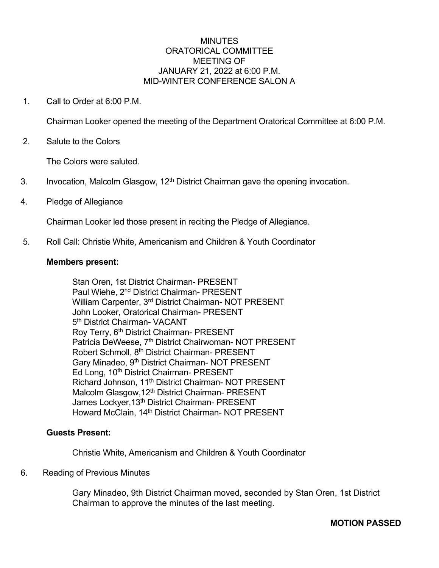#### **MINUTES** ORATORICAL COMMITTEE MEETING OF JANUARY 21, 2022 at 6:00 P.M. MID-WINTER CONFERENCE SALON A

1. Call to Order at 6:00 P.M.

Chairman Looker opened the meeting of the Department Oratorical Committee at 6:00 P.M.

2. Salute to the Colors

The Colors were saluted.

- 3. Invocation, Malcolm Glasgow, 12<sup>th</sup> District Chairman gave the opening invocation.
- 4. Pledge of Allegiance

Chairman Looker led those present in reciting the Pledge of Allegiance.

5. Roll Call: Christie White, Americanism and Children & Youth Coordinator

#### **Members present:**

Stan Oren, 1st District Chairman- PRESENT Paul Wiehe, 2nd District Chairman- PRESENT William Carpenter, 3<sup>rd</sup> District Chairman- NOT PRESENT John Looker, Oratorical Chairman- PRESENT 5<sup>th</sup> District Chairman- VACANT Roy Terry, 6<sup>th</sup> District Chairman- PRESENT Patricia DeWeese, 7<sup>th</sup> District Chairwoman- NOT PRESENT Robert Schmoll, 8th District Chairman- PRESENT Gary Minadeo, 9<sup>th</sup> District Chairman- NOT PRESENT Ed Long, 10<sup>th</sup> District Chairman- PRESENT Richard Johnson, 11<sup>th</sup> District Chairman- NOT PRESENT Malcolm Glasgow, 12<sup>th</sup> District Chairman- PRESENT James Lockyer, 13<sup>th</sup> District Chairman- PRESENT Howard McClain, 14th District Chairman- NOT PRESENT

#### **Guests Present:**

Christie White, Americanism and Children & Youth Coordinator

#### 6. Reading of Previous Minutes

Gary Minadeo, 9th District Chairman moved, seconded by Stan Oren, 1st District Chairman to approve the minutes of the last meeting.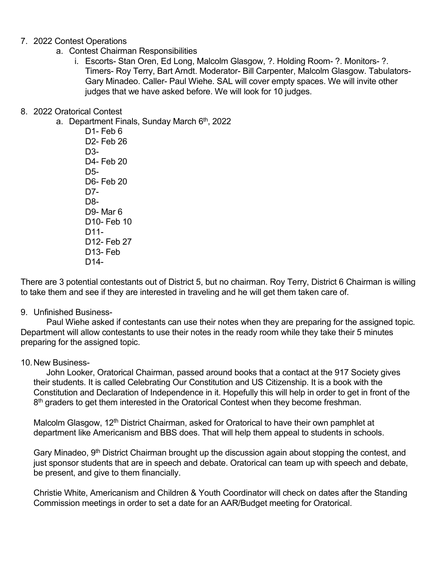### 7. 2022 Contest Operations

- a. Contest Chairman Responsibilities
	- i. Escorts- Stan Oren, Ed Long, Malcolm Glasgow, ?. Holding Room- ?. Monitors- ?. Timers- Roy Terry, Bart Arndt. Moderator- Bill Carpenter, Malcolm Glasgow. Tabulators-Gary Minadeo. Caller- Paul Wiehe. SAL will cover empty spaces. We will invite other judges that we have asked before. We will look for 10 judges.

## 8. 2022 Oratorical Contest

a. Department Finals, Sunday March  $6<sup>th</sup>$ , 2022

D1- Feb 6 D2- Feb 26 D3- D4- Feb 20 D5- D6- Feb 20 D7- D8- D9- Mar 6 D10- Feb 10 D11- D12- Feb 27 D13- Feb D14-

There are 3 potential contestants out of District 5, but no chairman. Roy Terry, District 6 Chairman is willing to take them and see if they are interested in traveling and he will get them taken care of.

### 9. Unfinished Business-

Paul Wiehe asked if contestants can use their notes when they are preparing for the assigned topic. Department will allow contestants to use their notes in the ready room while they take their 5 minutes preparing for the assigned topic.

### 10.New Business-

John Looker, Oratorical Chairman, passed around books that a contact at the 917 Society gives their students. It is called Celebrating Our Constitution and US Citizenship. It is a book with the Constitution and Declaration of Independence in it. Hopefully this will help in order to get in front of the  $8<sup>th</sup>$  graders to get them interested in the Oratorical Contest when they become freshman.

Malcolm Glasgow, 12<sup>th</sup> District Chairman, asked for Oratorical to have their own pamphlet at department like Americanism and BBS does. That will help them appeal to students in schools.

Gary Minadeo, 9<sup>th</sup> District Chairman brought up the discussion again about stopping the contest, and just sponsor students that are in speech and debate. Oratorical can team up with speech and debate, be present, and give to them financially.

Christie White, Americanism and Children & Youth Coordinator will check on dates after the Standing Commission meetings in order to set a date for an AAR/Budget meeting for Oratorical.